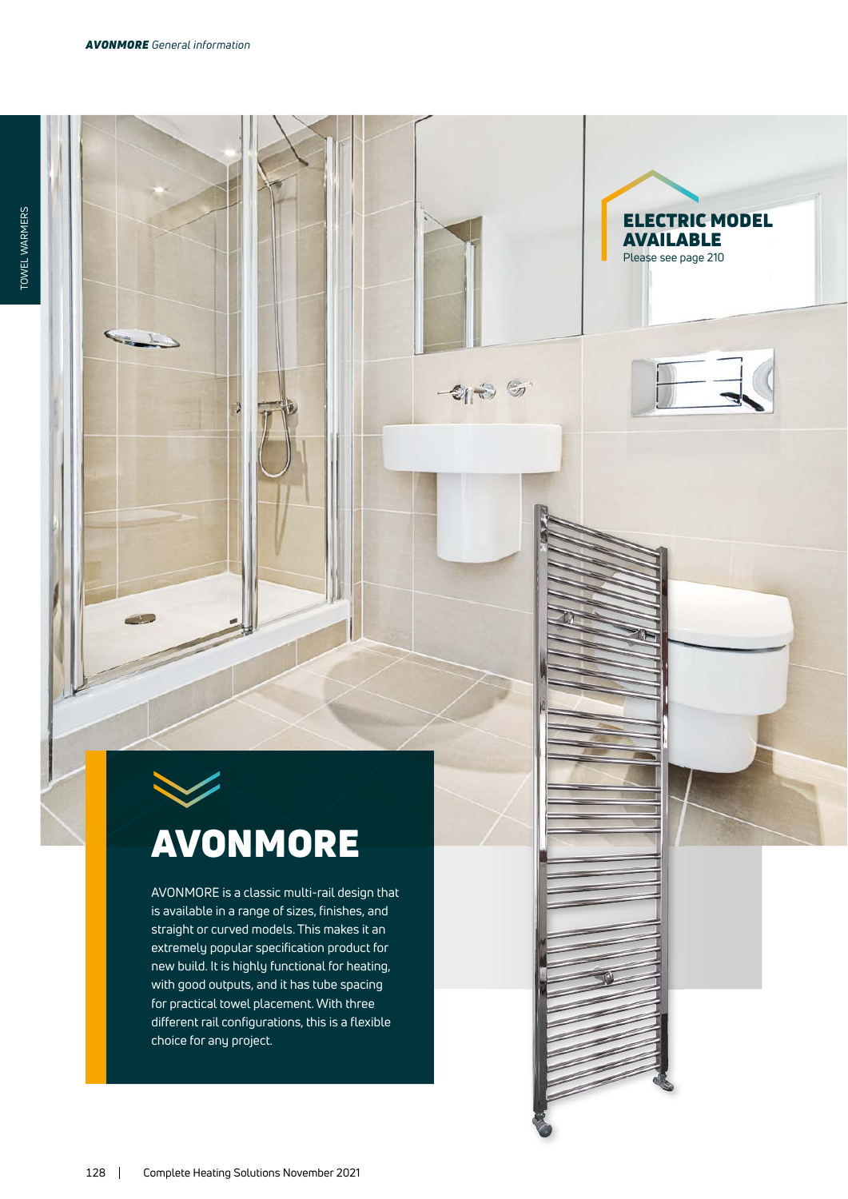$\mathcal{A}_{\text{max}}$ 

ELECTRIC MODEL

AVAILABLE Please see page 210

 $-2135$ 

## AVONMORE

AVONMORE is a classic multi-rail design that is available in a range of sizes, finishes, and straight or curved models. This makes it an extremely popular specification product for new build. It is highly functional for heating, with good outputs, and it has tube spacing for practical towel placement. With three different rail configurations, this is a flexible choice for any project.